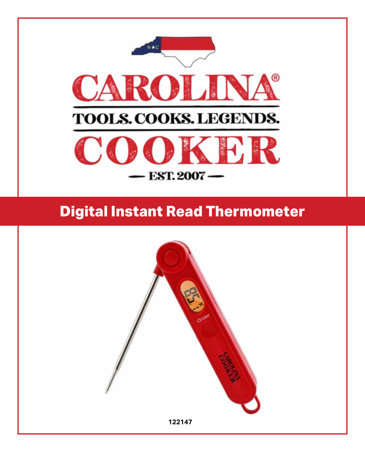

# **Digital Instant Read Thermometer**

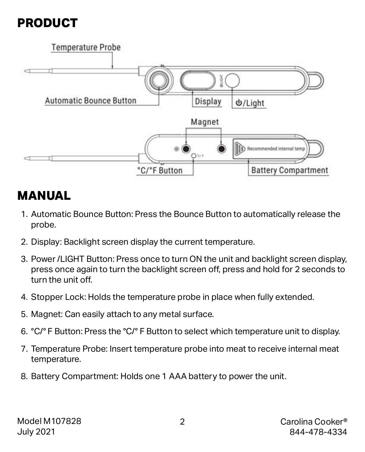### **PRODUCT**



### **MANUAL**

- 1. Automatic Bounce Button: Press the Bounce Button to automatically release the probe.
- 2. Display: Backlight screen display the current temperature.
- 3. Power /LIGHT Button: Press once to turn ON the unit and backlight screen display, press once again to turn the backlight screen off, press and hold for 2 seconds to turn the unit off.
- 4. Stopper Lock: Holds the temperature probe in place when fully extended.
- 5. Magnet: Can easily attach to any metal surface.
- 6. °C/° F Button: Press the °C/° F Button to select which temperature unit to display.
- 7. Temperature Probe: Insert temperature probe into meat to receive internal meat temperature.
- 8. Battery Compartment: Holds one 1 AAA battery to power the unit.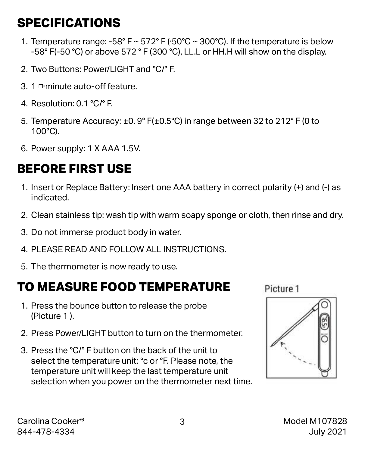### **SPECIFICATIONS**

- 1. Temperature range: -58° F  $\sim$  572° F ( $\cdot$ 50°C  $\sim$  300°C). If the temperature is below -58° F(-50 °C) or above 572 ° F (300 °C), LL.L or HH.H will show on the display.
- 2. Two Buttons: Power/LIGHT and °C/° F.
- 3. 1 □·minute auto-off feature.
- 4. Resolution: 0.1 °C/° F.
- 5. Temperature Accuracy: ±0. 9° F(±0.5°C) in range between 32 to 212° F (0 to 100°C).
- 6. Power supply: 1 X AAA 1.5V.

# **BEFORE FIRST USE**

- 1. Insert or Replace Battery: Insert one AAA battery in correct polarity (+) and (-) as indicated.
- 2. Clean stainless tip: wash tip with warm soapy sponge or cloth, then rinse and dry.
- 3. Do not immerse product body in water.
- 4. PLEASE READ AND FOLLOW ALL INSTRUCTIONS.
- 5. The thermometer is now ready to use.

### **TO MEASURE FOOD TEMPERATURE**

- 1. Press the bounce button to release the probe (Picture 1 ).
- 2. Press Power/LIGHT button to turn on the thermometer.
- 3. Press the °C/° F button on the back of the unit to select the temperature unit: °c or °F. Please note, the temperature unit will keep the last temperature unit selection when you power on the thermometer next time.

Picture 1

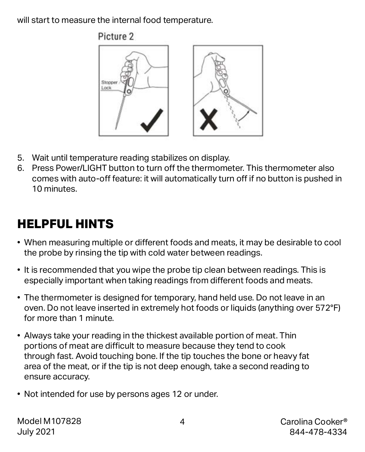will start to measure the internal food temperature.



- 5. Wait until temperature reading stabilizes on display.
- 6. Press Power/LIGHT button to turn off the thermometer. This thermometer also comes with auto-off feature: it will automatically turn off if no button is pushed in 10 minutes.

### **HELPFUL HINTS**

- When measuring multiple or different foods and meats, it may be desirable to cool the probe by rinsing the tip with cold water between readings.
- It is recommended that you wipe the probe tip clean between readings. This is especially important when taking readings from different foods and meats.
- The thermometer is designed for temporary, hand held use. Do not leave in an oven. Do not leave inserted in extremely hot foods or liquids (anything over 572°F) for more than 1 minute.
- Always take your reading in the thickest available portion of meat. Thin portions of meat are difficult to measure because they tend to cook through fast. Avoid touching bone. If the tip touches the bone or heavy fat area of the meat, or if the tip is not deep enough, take a second reading to ensure accuracy.
- Not intended for use by persons ages 12 or under.

Model M107828 July 2021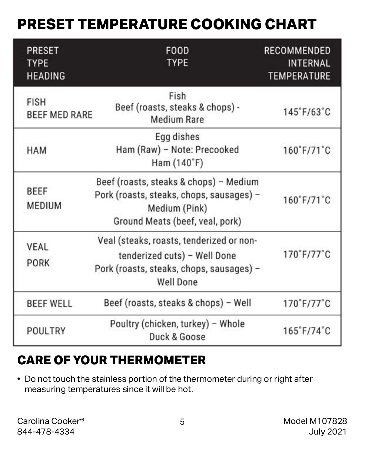# **PRESET TEMPERATURE COOKING CHART**

| <b>PRESET</b><br><b>TYPE</b><br><b>HEADING</b> | <b>FOOD</b><br><b>TYPE</b>                                                                                                               | <b>RECOMMENDED</b><br><b>INTERNAL</b><br><b>TEMPERATURE</b> |
|------------------------------------------------|------------------------------------------------------------------------------------------------------------------------------------------|-------------------------------------------------------------|
| <b>FISH</b><br><b>BEEF MED RARE</b>            | Fish<br>Beef (roasts, steaks & chops) -<br><b>Medium Rare</b>                                                                            | $145^{\circ}$ F/63 $^{\circ}$ C                             |
| <b>HAM</b>                                     | Egg dishes<br>Ham (Raw) - Note: Precooked<br>Ham (140°F)                                                                                 | $160°$ F/71°C                                               |
| <b>BEEF</b><br><b>MEDIUM</b>                   | Beef (roasts, steaks & chops) - Medium<br>Pork (roasts, steaks, chops, sausages) -<br>Medium (Pink)<br>Ground Meats (beef, veal, pork)   | $160°$ F/71°C                                               |
| <b>VEAL</b><br><b>PORK</b>                     | Veal (steaks, roasts, tenderized or non-<br>tenderized cuts) - Well Done<br>Pork (roasts, steaks, chops, sausages) -<br><b>Well Done</b> | 170°F/77°C                                                  |
| <b>BEEF WELL</b>                               | Beef (roasts, steaks & chops) - Well                                                                                                     | $170°$ F/77°C                                               |
| POULTRY                                        | Poultry (chicken, turkey) - Whole<br>Duck & Goose                                                                                        | $165^\circ$ F/74 $^\circ$ C                                 |

### **CARE OF YOUR THERMOMETER**

• Do not touch the stainless portion of the thermometer during or right after measuring temperatures since it will be hot.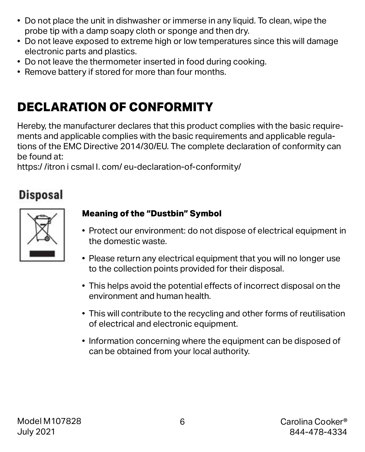- Do not place the unit in dishwasher or immerse in any liquid. To clean, wipe the probe tip with a damp soapy cloth or sponge and then dry.
- Do not leave exposed to extreme high or low temperatures since this will damage electronic parts and plastics.
- Do not leave the thermometer inserted in food during cooking.
- Remove battery if stored for more than four months.

# **DECLARATION OF CONFORMITY**

Hereby, the manufacturer declares that this product complies with the basic requirements and applicable complies with the basic requirements and applicable regulations of the EMC Directive 2014/30/EU. The complete declaration of conformity can be found at:

https:/ /itron i csmal I. com/ eu-declaration-of-conformity/

### **Disposal**

#### **Meaning of the "Dustbin" Symbol**

- Protect our environment: do not dispose of electrical equipment in the domestic waste.
- Please return any electrical equipment that you will no longer use to the collection points provided for their disposal.
- This helps avoid the potential effects of incorrect disposal on the environment and human health.
- This will contribute to the recycling and other forms of reutilisation of electrical and electronic equipment.
- Information concerning where the equipment can be disposed of can be obtained from your local authority.